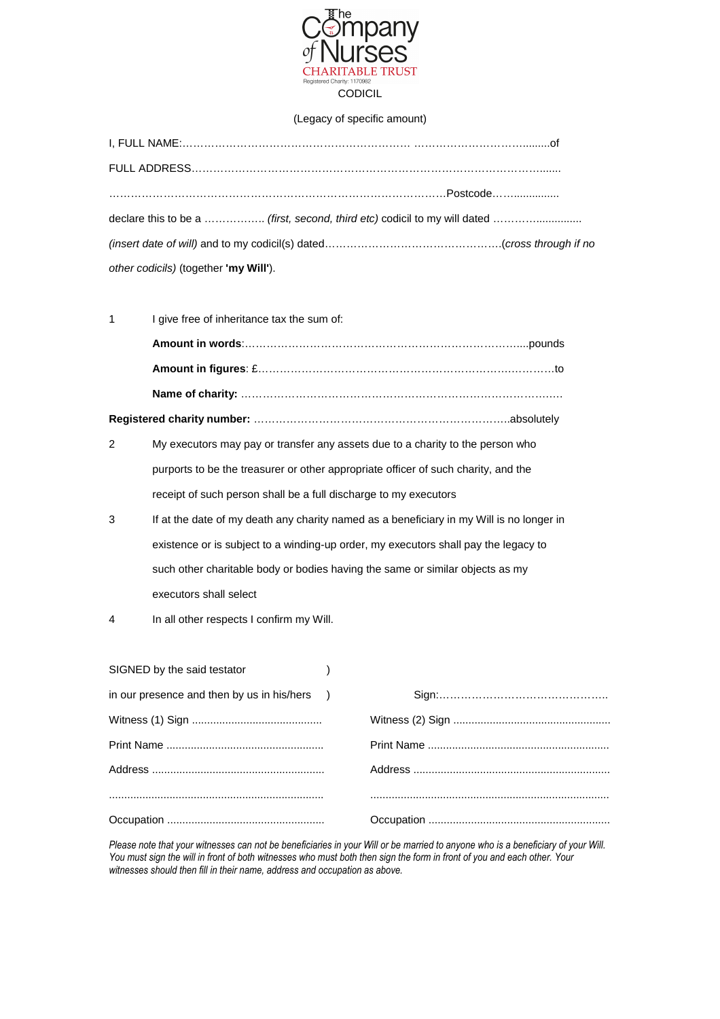

## (Legacy of specific amount)

| other codicils) (together 'my Will'). |
|---------------------------------------|

| 1 | I give free of inheritance tax the sum of:                                               |  |  |
|---|------------------------------------------------------------------------------------------|--|--|
|   |                                                                                          |  |  |
|   |                                                                                          |  |  |
|   |                                                                                          |  |  |
|   |                                                                                          |  |  |
| 2 | My executors may pay or transfer any assets due to a charity to the person who           |  |  |
|   | purports to be the treasurer or other appropriate officer of such charity, and the       |  |  |
|   | receipt of such person shall be a full discharge to my executors                         |  |  |
| 3 | If at the date of my death any charity named as a beneficiary in my Will is no longer in |  |  |
|   | existence or is subject to a winding-up order, my executors shall pay the legacy to      |  |  |
|   | such other charitable body or bodies having the same or similar objects as my            |  |  |
|   | executors shall select                                                                   |  |  |

4 In all other respects I confirm my Will.

| SIGNED by the said testator                  |  |
|----------------------------------------------|--|
| in our presence and then by us in his/hers ) |  |
|                                              |  |
|                                              |  |
|                                              |  |
|                                              |  |
|                                              |  |

*Please note that your witnesses can not be beneficiaries in your Will or be married to anyone who is a beneficiary of your Will. You must sign the will in front of both witnesses who must both then sign the form in front of you and each other. Your witnesses should then fill in their name, address and occupation as above.*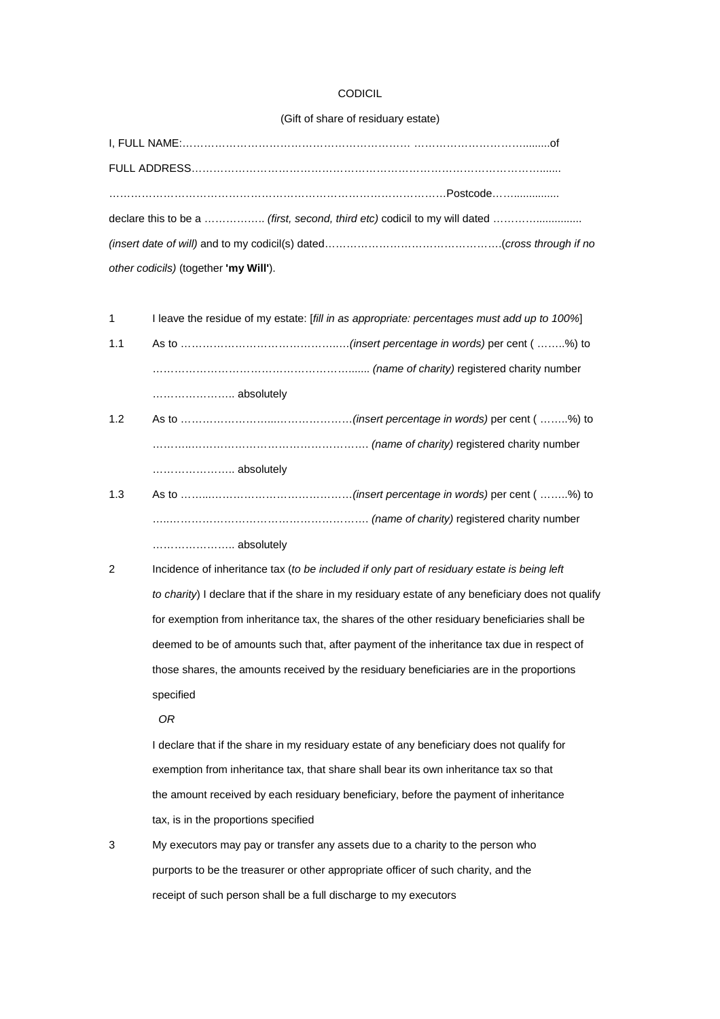## **CODICIL**

## (Gift of share of residuary estate)

| declare this to be a  (first, second, third etc) codicil to my will dated |  |
|---------------------------------------------------------------------------|--|
|                                                                           |  |
| other codicils) (together 'my Will').                                     |  |

1 I leave the residue of my estate: [fill in as appropriate: percentages must add up to 100%]

- 1.1 As to ……………………………………..…(insert percentage in words) per cent ( ……..%) to ………………………………………………....... (name of charity) registered charity number ………………….. absolutely
- 1.2 As to ……………………...…………………(insert percentage in words) per cent ( ……..%) to ………..…………………………………………. (name of charity) registered charity number ………………….. absolutely
- 1.3 As to ……...…………………………………(insert percentage in words) per cent ( ……..%) to …..………………………………………………. (name of charity) registered charity number ………………….. absolutely
- 2 Incidence of inheritance tax (to be included if only part of residuary estate is being left to charity) I declare that if the share in my residuary estate of any beneficiary does not qualify for exemption from inheritance tax, the shares of the other residuary beneficiaries shall be deemed to be of amounts such that, after payment of the inheritance tax due in respect of those shares, the amounts received by the residuary beneficiaries are in the proportions specified
	- OR

I declare that if the share in my residuary estate of any beneficiary does not qualify for exemption from inheritance tax, that share shall bear its own inheritance tax so that the amount received by each residuary beneficiary, before the payment of inheritance tax, is in the proportions specified

3 My executors may pay or transfer any assets due to a charity to the person who purports to be the treasurer or other appropriate officer of such charity, and the receipt of such person shall be a full discharge to my executors